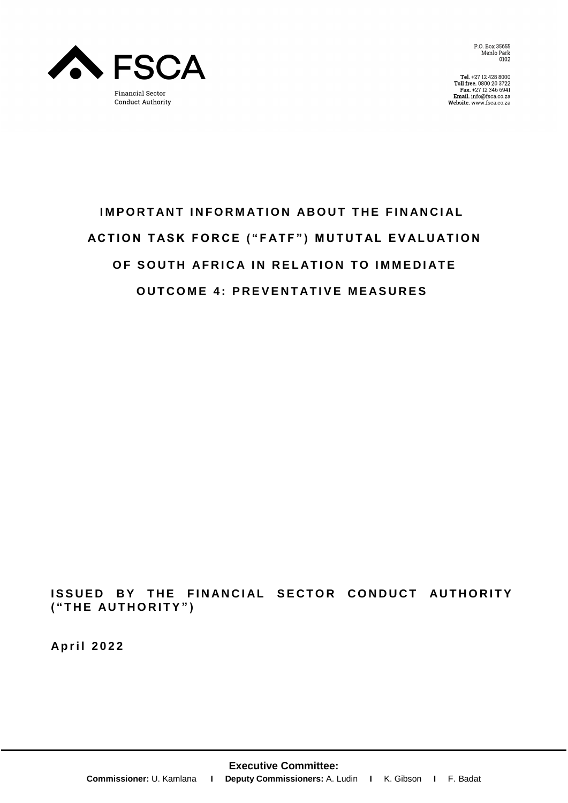

P.O. Box 35655 Menlo Park<br>0102

Tel. +27 12 428 8000<br>Toll free. 0800 20 3722<br>Fax. +27 12 346 6941<br>Email. info@fsca.co.za<br>Website. www.fsca.co.za

# **IMPORTANT INFORMATION ABOUT THE FINANCIAL ACTION TASK FORCE ("FATF") MUTUTAL EVALUATION OF SOUTH AFRICA IN RELATION TO IMMEDIATE OUTCOME 4: PREVENTATIVE MEASURES**

**ISSUED BY THE FINANCIAL SECTOR CONDUCT AUTHORITY ( " T H E AU T H O R I T Y " )**

**A p r i l 2 0 2 2**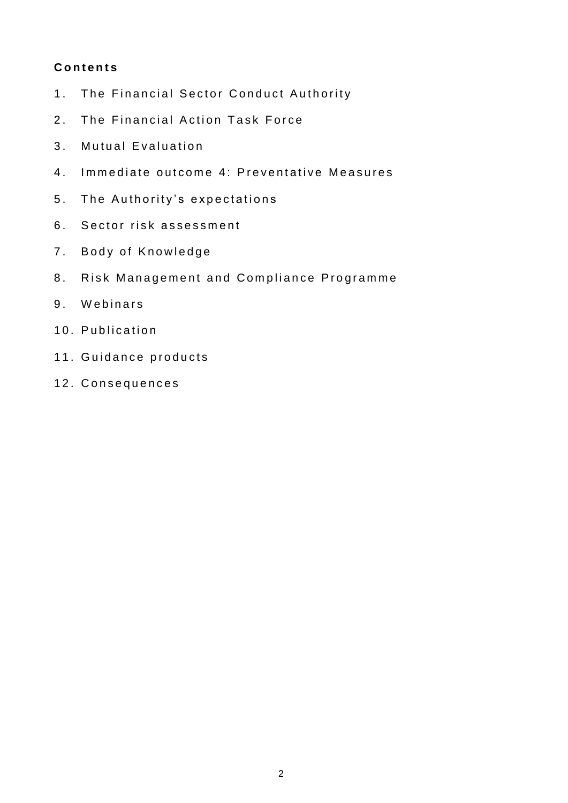## **C o n t e n t s**

- 1. The Financial Sector Conduct Authority
- 2. The Financial Action Task Force
- 3. Mutual Evaluation
- 4. Immediate outcome 4: Preventative Measures
- 5. The Authority's expectations
- 6. Sector risk assessment
- 7. Body of Knowledge
- 8. Risk Management and Compliance Programme
- 9. Webinars
- 10. Publication
- 11. Guidance products
- 12. Consequences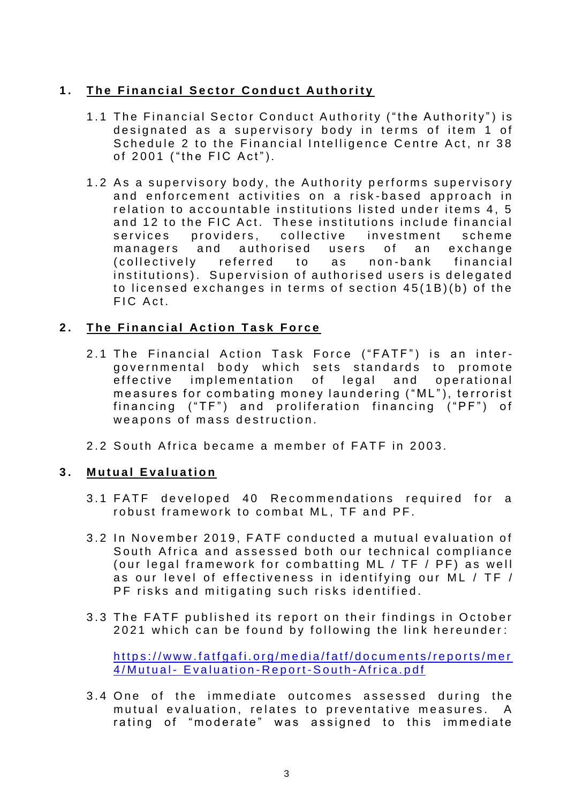# **1. The Financial Sector Conduct Authority**

- 1.1 The Financial Sector Conduct Authority ("the Authority") is designated as a supervisory body in terms of item 1 of Schedule 2 to the Financial Intelligence Centre Act, nr 38 of 2001 ("the FIC Act").
- 1.2 As a supervisory body, the Authority performs supervisory and enforcement activities on a risk-based approach in relation to accountable institutions listed under items 4, 5 and 12 to the FIC Act. These institutions include financial services providers, collective investment scheme managers and authorised users of an exchange (collectively referred to as non-bank financial institutions). Supervision of authorised users is delegated to licensed exchanges in terms of section  $45(1B)(b)$  of the FIC Act.

## **2.** The Financial Action Task Force

- 2.1 The Financial Action Task Force ("FATF") is an intergovernmental body which sets standards to promote effective implementation of legal and operational measures for combating money laundering ("ML"), terrorist financing ("TF") and proliferation financing ("PF") of we apons of mass destruction.
- 2.2 South Africa became a member of FATF in 2003.

#### **3. Mutual Evaluation**

- 3.1 FATF developed 40 Recommendations required for a robust framework to combat ML, TF and PF.
- 3.2 In November 2019. FATF conducted a mutual evaluation of South Africa and assessed both our technical compliance (our legal framework for combatting ML / TF / PF) as well as our level of effectiveness in identifying our ML / TF / PF risks and mitigating such risks identified.
- 3.3 The FATF published its report on their findings in October 2021 which can be found by following the link hereunder:

https://www.fatfgafi.org/media/fatf/documents/reports/mer 4/Mutual - Evaluation - Report - South - Africa.pdf

3.4 One of the immediate outcomes assessed during the mutual evaluation, relates to preventative measures. A rating of "moderate" was assigned to this immediate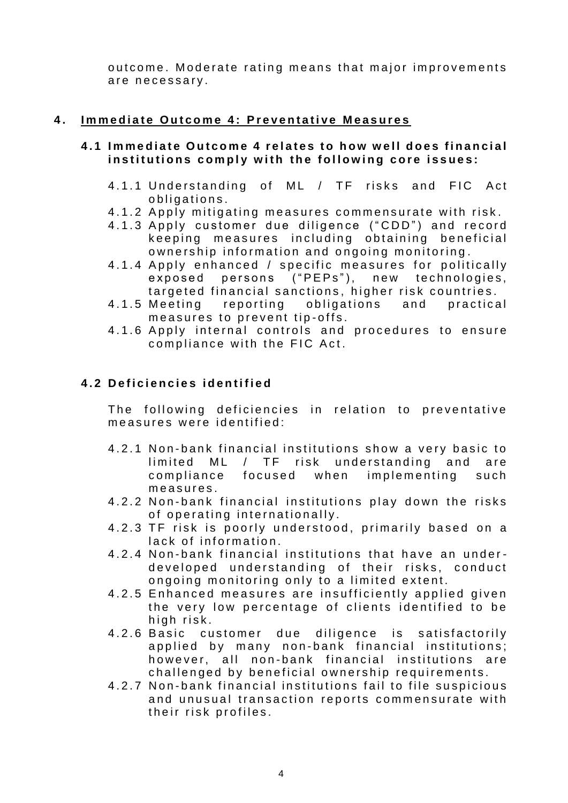outcome. Moderate rating means that major improvements are necessary.

#### **4.** Immediate Outcome 4: Preventative Measures

#### **4.1 Immediate Outcome 4 relates to how well does financial** institutions comply with the following core issues:

- 4.1.1 Understanding of ML / TF risks and FIC Act obligations.
- 4.1.2 Apply mitigating measures commensurate with risk.
- 4.1.3 Apply customer due diligence ("CDD") and record keeping measures including obtaining beneficial ownership information and ongoing monitoring.
- 4.1.4 Apply enhanced / specific measures for politically exposed persons ("PEPs"), new technologies, targeted financial sanctions, higher risk countries.
- 4.1.5 Meeting reporting obligations and practical measures to prevent tip-offs.
- 4.1.6 Apply internal controls and procedures to ensure compliance with the FIC Act.

## **4 . 2 D e f i c i e n c i e s i d e n t i f i e d**

The following deficiencies in relation to preventative measures were identified:

- 4.2.1 Non-bank financial institutions show a very basic to  $limited ML / TF risk understanding and are$ compliance focused when implementing such measures.
- 4.2.2 Non-bank financial institutions play down the risks of operating internationally.
- 4.2.3 TF risk is poorly understood, primarily based on a lack of information.
- 4.2.4 Non-bank financial institutions that have an underdeveloped understanding of their risks, conduct ongoing monitoring only to a limited extent.
- 4.2.5 Enhanced measures are insufficiently applied given the very low percentage of clients identified to be high risk.
- 4.2.6 Basic customer due diligence is satisfactorily applied by many non-bank financial institutions; however, all non-bank financial institutions are challenged by beneficial ownership requirements.
- 4.2.7 Non-bank financial institutions fail to file suspicious and unusual transaction reports commensurate with their risk profiles.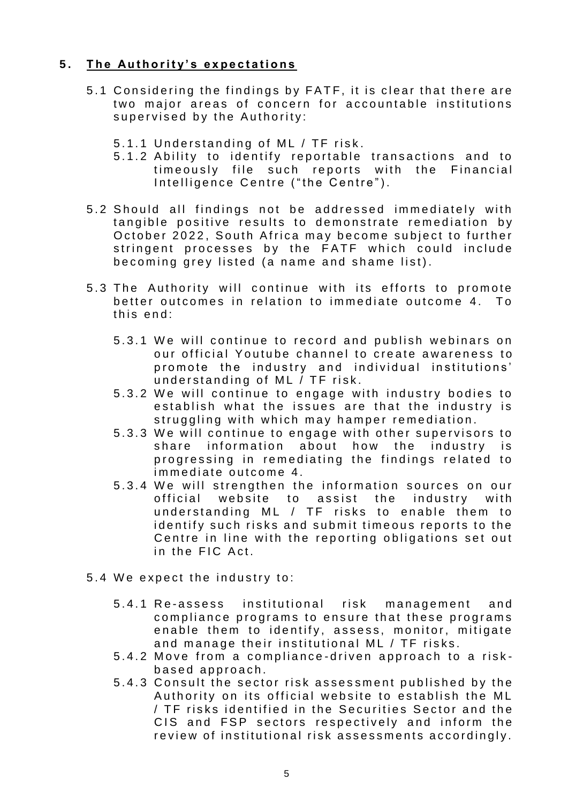## **5.** The Authority's expectations

- 5.1 Considering the findings by FATF, it is clear that there are two major areas of concern for accountable institutions supervised by the Authority:
	- 5.1.1 Understanding of ML / TF risk.
	- 5.1.2 Ability to identify reportable transactions and to timeously file such reports with the Financial Intelligence Centre ("the Centre").
- 5.2 Should all findings not be addressed immediately with tangible positive results to demonstrate remediation by October 2022, South Africa may become subject to further stringent processes by the FATF which could include becoming grey listed (a name and shame list).
- 5.3 The Authority will continue with its efforts to promote better outcomes in relation to immediate outcome 4. To  $this$  end:
	- 5.3.1 We will continue to record and publish webinars on our official Youtube channel to create awareness to promote the industry and individual institutions' understanding of ML / TF risk.
	- 5.3.2 We will continue to engage with industry bodies to establish what the issues are that the industry is struggling with which may hamper remediation.
	- 5.3.3 We will continue to engage with other supervisors to share information about how the industry is progressing in remediating the findings related to immediate outcome 4.
	- 5.3.4 We will strengthen the information sources on our official website to assist the industry with understanding ML / TF risks to enable them to identify such risks and submit timeous reports to the Centre in line with the reporting obligations set out in the FIC Act.
- 5.4 We expect the industry to:
	- 5.4.1 Re-assess institutional risk management and compliance programs to ensure that these programs enable them to identify, assess, monitor, mitigate and manage their institutional ML / TF risks.
	- 5.4.2 Move from a compliance-driven approach to a riskbased approach.
	- 5.4.3 Consult the sector risk assessment published by the Authority on its official website to establish the ML / TF risks identified in the Securities Sector and the CIS and FSP sectors respectively and inform the review of institutional risk assessments accordingly.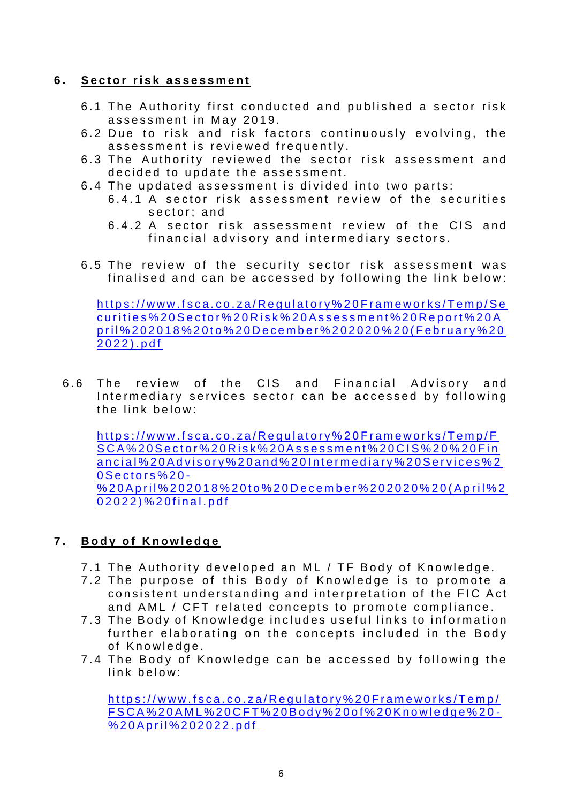#### **6 . S e c t o r r i s k a s s e s s m e n t**

- 6.1 The Authority first conducted and published a sector risk assessment in May 2019.
- 6.2 Due to risk and risk factors continuously evolving, the assessment is reviewed frequently.
- 6.3 The Authority reviewed the sector risk assessment and decided to update the assessment.
- 6.4 The updated assessment is divided into two parts:
	- 6.4.1 A sector risk assessment review of the securities sector: and
	- 6.4.2 A sector risk assessment review of the CIS and financial advisory and intermediary sectors.
- 6.5 The review of the security sector risk assessment was finalised and can be accessed by following the link below:

https://www.fsca.co.za/Requiatory%20Frameworks/Temp/Se curities%20Sector%20Risk%20Assessment%20Report%20A pril%202018%20to%20December%202020%20(February%20 2022).pdf

6.6 The review of the CIS and Financial Advisory and Intermediary services sector can be accessed by following the link below:

https://www.fsca.co.za/Requlatory%20Frameworks/Temp/F SCA%20Sector%20Risk%20Assessment%20CIS%20%20Fin ancial%20Advisory%20and%20Intermediary%20Services%2 0 S e ctors % 20 -% 20 A p r i l % 20 20 1 8 % 20 t o % 20 D e c e m b e r % 20 20 20 % 20 (A p r i l % 2 0 2 0 2 2 ) % 2 0 f in a l . p d f

## **7.** Body of Knowledge

- 7.1 The Authority developed an ML / TF Body of Knowledge.
- 7.2 The purpose of this Body of Knowledge is to promote a consistent understanding and interpretation of the FIC Act and AML / CFT related concepts to promote compliance.
- 7.3 The Body of Knowledge includes useful links to information further elaborating on the concepts included in the Body of Knowledge.
- 7.4 The Body of Knowledge can be accessed by following the link below:

https://www.fsca.co.za/Requlatory%20Frameworks/Temp/ [F S C A % 2 0 A M L % 2 0 C F T % 2 0 B o d y % 2 0 o f % 2 0 K n o w l e d g e % 2 0](https://www.fsca.co.za/Regulatory%20Frameworks/Temp/FSCA%20AML%20CFT%20Body%20of%20Knowledge%20-%20April%202022.pdf) - [% 2 0 A p r i l % 2 0 2 0 2 2 . p d f](https://www.fsca.co.za/Regulatory%20Frameworks/Temp/FSCA%20AML%20CFT%20Body%20of%20Knowledge%20-%20April%202022.pdf)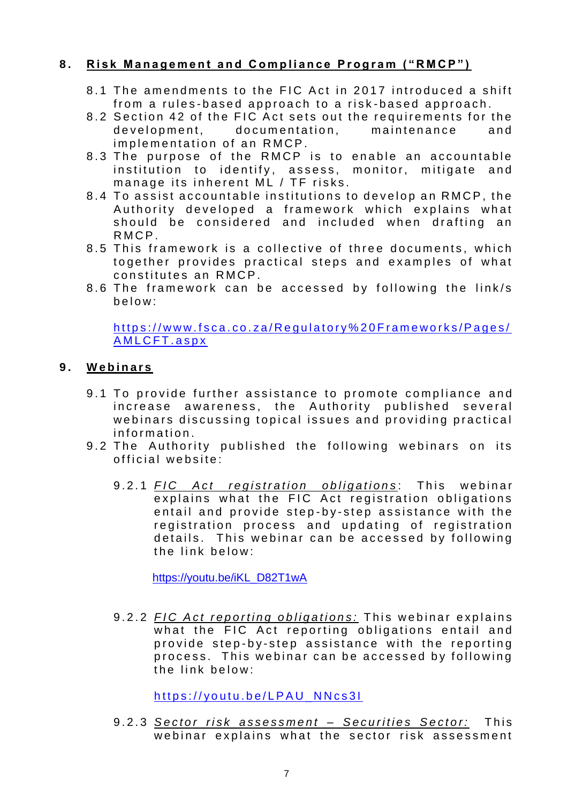## **8.** Risk Management and Compliance Program ("RMCP")

- 8.1 The amendments to the FIC Act in 2017 introduced a shift from a rules-based approach to a risk-based approach.
- 8.2 Section 42 of the FIC Act sets out the requirements for the development, documentation, maintenance and implementation of an RMCP.
- 8.3 The purpose of the RMCP is to enable an accountable institution to identify, assess, monitor, mitigate and manage its inherent ML / TF risks.
- 8.4 To assist accountable institutions to develop an RMCP, the Authority developed a framework which explains what should be considered and included when drafting an R M C P.
- 8.5 This framework is a collective of three documents, which together provides practical steps and examples of what constitutes an RMCP.
- 8.6 The framework can be accessed by following the link/s b e l o w :

https://www.fsca.co.za/Regulatory%20Frameworks/Pages/ A M L C F T. as p x

## **9 . W e b i n a r s**

- 9.1 To provide further assistance to promote compliance and increase awareness, the Authority published several webinars discussing topical issues and providing practical information.
- 9.2 The Authority published the following webinars on its official website:
	- 9.2.1 *FIC Act registration obligations*: This webinar explains what the FIC Act registration obligations entail and provide step-by-step assistance with the registration process and updating of registration details. This webinar can be accessed by following the link below:

[https://youtu.be/iKL\\_D82T1wA](https://youtu.be/iKL_D82T1wA)

9.2.2 *FIC Act reporting obligations:* This webinar explains what the FIC Act reporting obligations entail and provide step-by-step assistance with the reporting process. This webinar can be accessed by following the link below:

https://youtu.be/LPAU\_NNcs31

9 . 2 . 3 *S e c t o r r i s k a s s e s s m e n t – S e c u r i t i e s S e c t o r :* T h i s webinar explains what the sector risk assessment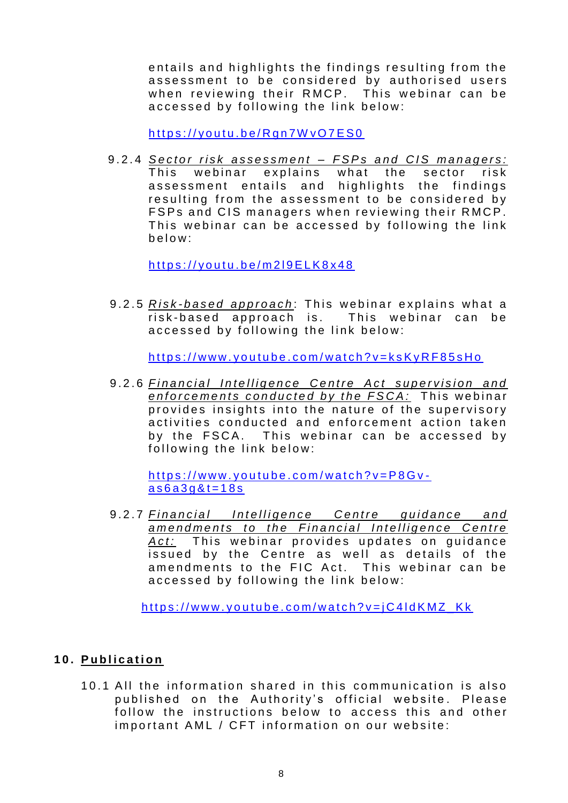entails and highlights the findings resulting from the assessment to be considered by authorised users when reviewing their RMCP. This webinar can be accessed by following the link below:

https://youtu.be/Rgn7WvO7ES0

9.2.4 Sector risk assessment - FSPs and CIS managers: This webinar explains what the sector risk assessment entails and highlights the findings resulting from the assessment to be considered by FSPs and CIS managers when reviewing their RMCP. This webinar can be accessed by following the link  $b$  e  $\log$ 

https://youtu.be/m219ELK8x48

9.2.5 *Risk-based approach*: This webinar explains what a risk-based approach is. This webinar can be accessed by following the link below:

https://www.youtube.com/watch?v=ksKyRF85sHo

9.2.6 Financial Intelligence Centre Act supervision and *enforcements conducted by the FSCA:* This webinar provides insights into the nature of the supervisory activities conducted and enforcement action taken by the FSCA. This webinar can be accessed by following the link below:

https://www.youtube.com/watch?v=P8Gv $a$  s  $6a$  3 g & t = 18 s

9.2.7 Financial Intelligence Centre guidance and *amendments to the Financial Intelligence Centre* Act: This webinar provides updates on guidance issued by the Centre as well as details of the amendments to the FIC Act. This webinar can be accessed by following the link below:

 $https://www.voutube.com/watch?v=iC4IdKMZ$  Kk

#### 10. Publication

10.1 All the information shared in this communication is also published on the Authority's official website. Please follow the instructions below to access this and other important AML / CFT information on our website: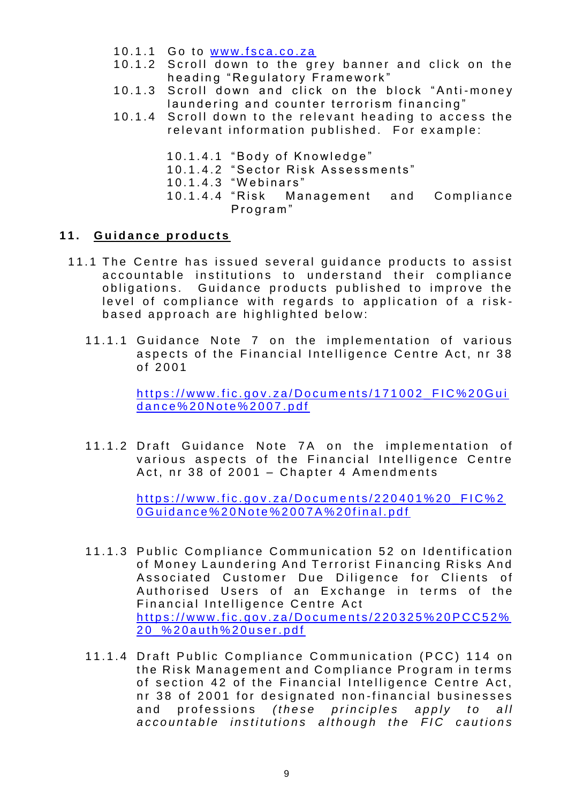- $10.1.1$  Go to www.fsca.co.za
- 10.1.2 Scroll down to the grey banner and click on the heading "Requlatory Framework"
- 10.1.3 Scroll down and click on the block "Anti-money laundering and counter terrorism financing"
- 10.1.4 Scroll down to the relevant heading to access the relevant information published. For example:
	- 10.1.4.1 "Body of Knowledge"
	- 10.1.4.2 "Sector Risk Assessments"
	- 10.1.4.3 "Webinars"
	- 10.1.4.4 "Risk Management and Compliance Program"

#### **1 1 . G u i d a n c e p r o d u c t s**

- 11.1 The Centre has issued several guidance products to assist accountable institutions to understand their compliance obligations. Guidance products published to improve the level of compliance with regards to application of a riskbased approach are highlighted below:
	- 11.1.1 Guidance Note 7 on the implementation of various aspects of the Financial Intelligence Centre Act, nr 38 of 2001

https://www.fic.gov.za/Documents/171002\_FIC%20Gui dance%20Note%2007.pdf

11.1.2 Draft Guidance Note 7A on the implementation of various aspects of the Financial Intelligence Centre Act, nr 38 of 2001 – Chapter 4 Amendments

> $https://www.fic.gov.za/Documents/220401%20$  FIC%2 0 G u i d a n c e % 20 N o t e % 2007 A % 20 f i n a l . p d f

- 11.1.3 Public Compliance Communication 52 on Identification of Money Laundering And Terrorist Financing Risks And Associated Customer Due Diligence for Clients of Authorised Users of an Exchange in terms of the Financial Intelligence Centre Act https://www.fic.gov.za/Documents/220325%20PCC52% 20 % 20 a u th % 20 u s e r . p d f
- 11.1.4 Draft Public Compliance Communication (PCC) 114 on the Risk Management and Compliance Program in terms of section 42 of the Financial Intelligence Centre Act, nr 38 of 2001 for designated non-financial businesses and professions (these principles apply to all accountable institutions although the FIC cautions